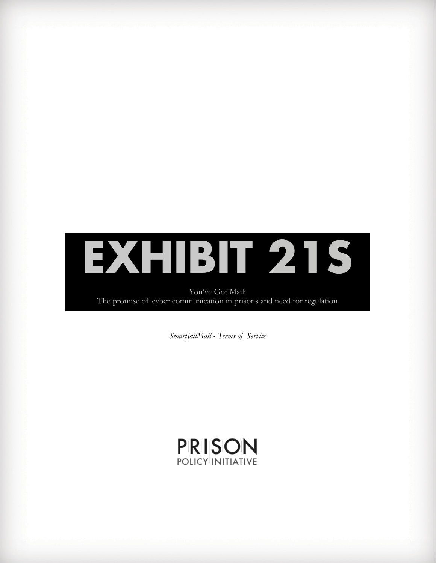

You've Got Mail: The promise of cyber communication in prisons and need for regulation

*SmartJailMail - Terms of Service*

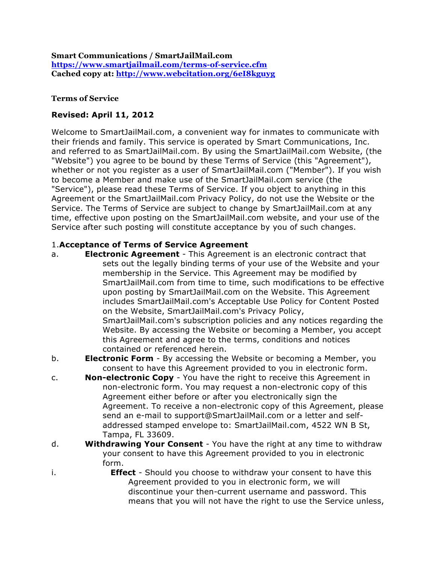**Smart Communications / SmartJailMail.com https://www.smartjailmail.com/terms-of-service.cfm Cached copy at: http://www.webcitation.org/6eI8kguyg**

### **Terms of Service**

# **Revised: April 11, 2012**

Welcome to SmartJailMail.com, a convenient way for inmates to communicate with their friends and family. This service is operated by Smart Communications, Inc. and referred to as SmartJailMail.com. By using the SmartJailMail.com Website, (the "Website") you agree to be bound by these Terms of Service (this "Agreement"), whether or not you register as a user of SmartJailMail.com ("Member"). If you wish to become a Member and make use of the SmartJailMail.com service (the "Service"), please read these Terms of Service. If you object to anything in this Agreement or the SmartJailMail.com Privacy Policy, do not use the Website or the Service. The Terms of Service are subject to change by SmartJailMail.com at any time, effective upon posting on the SmartJailMail.com website, and your use of the Service after such posting will constitute acceptance by you of such changes.

## 1.**Acceptance of Terms of Service Agreement**

- a. **Electronic Agreement** This Agreement is an electronic contract that sets out the legally binding terms of your use of the Website and your membership in the Service. This Agreement may be modified by SmartJailMail.com from time to time, such modifications to be effective upon posting by SmartJailMail.com on the Website. This Agreement includes SmartJailMail.com's Acceptable Use Policy for Content Posted on the Website, SmartJailMail.com's Privacy Policy, SmartJailMail.com's subscription policies and any notices regarding the Website. By accessing the Website or becoming a Member, you accept this Agreement and agree to the terms, conditions and notices contained or referenced herein.
- b. **Electronic Form** By accessing the Website or becoming a Member, you consent to have this Agreement provided to you in electronic form.
- c. **Non-electronic Copy** You have the right to receive this Agreement in non-electronic form. You may request a non-electronic copy of this Agreement either before or after you electronically sign the Agreement. To receive a non-electronic copy of this Agreement, please send an e-mail to support@SmartJailMail.com or a letter and selfaddressed stamped envelope to: SmartJailMail.com, 4522 WN B St, Tampa, FL 33609.
- d. **Withdrawing Your Consent** You have the right at any time to withdraw your consent to have this Agreement provided to you in electronic form.
- i. **Effect** Should you choose to withdraw your consent to have this Agreement provided to you in electronic form, we will discontinue your then-current username and password. This means that you will not have the right to use the Service unless,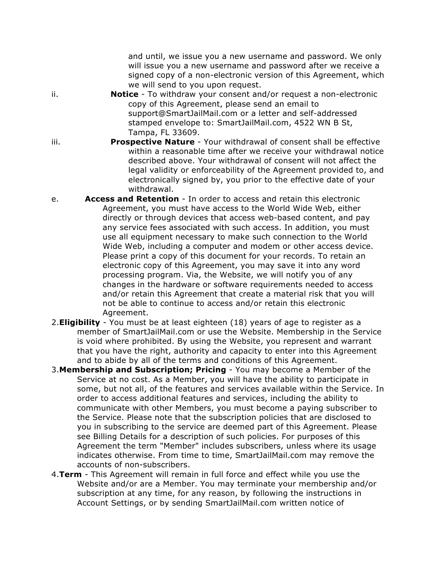and until, we issue you a new username and password. We only will issue you a new username and password after we receive a signed copy of a non-electronic version of this Agreement, which we will send to you upon request.

- ii. **Notice** To withdraw your consent and/or request a non-electronic copy of this Agreement, please send an email to support@SmartJailMail.com or a letter and self-addressed stamped envelope to: SmartJailMail.com, 4522 WN B St, Tampa, FL 33609.
- iii. **Prospective Nature** Your withdrawal of consent shall be effective within a reasonable time after we receive your withdrawal notice described above. Your withdrawal of consent will not affect the legal validity or enforceability of the Agreement provided to, and electronically signed by, you prior to the effective date of your withdrawal.
- e. **Access and Retention** In order to access and retain this electronic Agreement, you must have access to the World Wide Web, either directly or through devices that access web-based content, and pay any service fees associated with such access. In addition, you must use all equipment necessary to make such connection to the World Wide Web, including a computer and modem or other access device. Please print a copy of this document for your records. To retain an electronic copy of this Agreement, you may save it into any word processing program. Via, the Website, we will notify you of any changes in the hardware or software requirements needed to access and/or retain this Agreement that create a material risk that you will not be able to continue to access and/or retain this electronic Agreement.
- 2.**Eligibility** You must be at least eighteen (18) years of age to register as a member of SmartJailMail.com or use the Website. Membership in the Service is void where prohibited. By using the Website, you represent and warrant that you have the right, authority and capacity to enter into this Agreement and to abide by all of the terms and conditions of this Agreement.
- 3.**Membership and Subscription; Pricing** You may become a Member of the Service at no cost. As a Member, you will have the ability to participate in some, but not all, of the features and services available within the Service. In order to access additional features and services, including the ability to communicate with other Members, you must become a paying subscriber to the Service. Please note that the subscription policies that are disclosed to you in subscribing to the service are deemed part of this Agreement. Please see Billing Details for a description of such policies. For purposes of this Agreement the term "Member" includes subscribers, unless where its usage indicates otherwise. From time to time, SmartJailMail.com may remove the accounts of non-subscribers.
- 4.**Term** This Agreement will remain in full force and effect while you use the Website and/or are a Member. You may terminate your membership and/or subscription at any time, for any reason, by following the instructions in Account Settings, or by sending SmartJailMail.com written notice of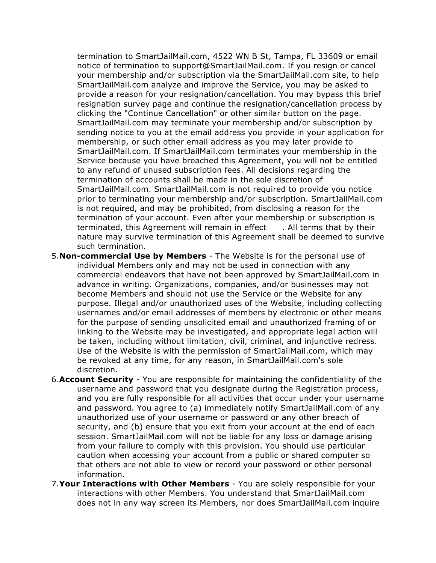termination to SmartJailMail.com, 4522 WN B St, Tampa, FL 33609 or email notice of termination to support@SmartJailMail.com. If you resign or cancel your membership and/or subscription via the SmartJailMail.com site, to help SmartJailMail.com analyze and improve the Service, you may be asked to provide a reason for your resignation/cancellation. You may bypass this brief resignation survey page and continue the resignation/cancellation process by clicking the "Continue Cancellation" or other similar button on the page. SmartJailMail.com may terminate your membership and/or subscription by sending notice to you at the email address you provide in your application for membership, or such other email address as you may later provide to SmartJailMail.com. If SmartJailMail.com terminates your membership in the Service because you have breached this Agreement, you will not be entitled to any refund of unused subscription fees. All decisions regarding the termination of accounts shall be made in the sole discretion of SmartJailMail.com. SmartJailMail.com is not required to provide you notice prior to terminating your membership and/or subscription. SmartJailMail.com is not required, and may be prohibited, from disclosing a reason for the termination of your account. Even after your membership or subscription is terminated, this Agreement will remain in effect . All terms that by their nature may survive termination of this Agreement shall be deemed to survive such termination.

- 5.**Non-commercial Use by Members** The Website is for the personal use of individual Members only and may not be used in connection with any commercial endeavors that have not been approved by SmartJailMail.com in advance in writing. Organizations, companies, and/or businesses may not become Members and should not use the Service or the Website for any purpose. Illegal and/or unauthorized uses of the Website, including collecting usernames and/or email addresses of members by electronic or other means for the purpose of sending unsolicited email and unauthorized framing of or linking to the Website may be investigated, and appropriate legal action will be taken, including without limitation, civil, criminal, and injunctive redress. Use of the Website is with the permission of SmartJailMail.com, which may be revoked at any time, for any reason, in SmartJailMail.com's sole discretion.
- 6.**Account Security** You are responsible for maintaining the confidentiality of the username and password that you designate during the Registration process, and you are fully responsible for all activities that occur under your username and password. You agree to (a) immediately notify SmartJailMail.com of any unauthorized use of your username or password or any other breach of security, and (b) ensure that you exit from your account at the end of each session. SmartJailMail.com will not be liable for any loss or damage arising from your failure to comply with this provision. You should use particular caution when accessing your account from a public or shared computer so that others are not able to view or record your password or other personal information.
- 7.**Your Interactions with Other Members** You are solely responsible for your interactions with other Members. You understand that SmartJailMail.com does not in any way screen its Members, nor does SmartJailMail.com inquire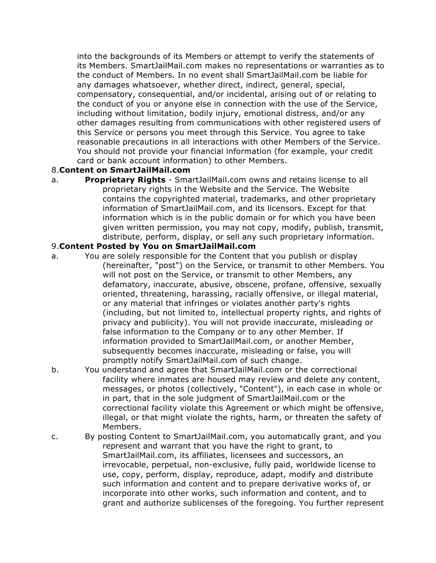into the backgrounds of its Members or attempt to verify the statements of its Members. SmartJailMail.com makes no representations or warranties as to the conduct of Members. In no event shall SmartJailMail.com be liable for any damages whatsoever, whether direct, indirect, general, special, compensatory, consequential, and/or incidental, arising out of or relating to the conduct of you or anyone else in connection with the use of the Service, including without limitation, bodily injury, emotional distress, and/or any other damages resulting from communications with other registered users of this Service or persons you meet through this Service. You agree to take reasonable precautions in all interactions with other Members of the Service. You should not provide your financial information (for example, your credit card or bank account information) to other Members.

### 8.**Content on SmartJailMail.com**

a. **Proprietary Rights** - SmartJailMail.com owns and retains license to all proprietary rights in the Website and the Service. The Website contains the copyrighted material, trademarks, and other proprietary information of SmartJailMail.com, and its licensors. Except for that information which is in the public domain or for which you have been given written permission, you may not copy, modify, publish, transmit, distribute, perform, display, or sell any such proprietary information.

### 9.**Content Posted by You on SmartJailMail.com**

- a. You are solely responsible for the Content that you publish or display (hereinafter, "post") on the Service, or transmit to other Members. You will not post on the Service, or transmit to other Members, any defamatory, inaccurate, abusive, obscene, profane, offensive, sexually oriented, threatening, harassing, racially offensive, or illegal material, or any material that infringes or violates another party's rights (including, but not limited to, intellectual property rights, and rights of privacy and publicity). You will not provide inaccurate, misleading or false information to the Company or to any other Member. If information provided to SmartJailMail.com, or another Member, subsequently becomes inaccurate, misleading or false, you will promptly notify SmartJailMail.com of such change.
- b. You understand and agree that SmartJailMail.com or the correctional facility where inmates are housed may review and delete any content, messages, or photos (collectively, "Content"), in each case in whole or in part, that in the sole judgment of SmartJailMail.com or the correctional facility violate this Agreement or which might be offensive, illegal, or that might violate the rights, harm, or threaten the safety of Members.
- c. By posting Content to SmartJailMail.com, you automatically grant, and you represent and warrant that you have the right to grant, to SmartJailMail.com, its affiliates, licensees and successors, an irrevocable, perpetual, non-exclusive, fully paid, worldwide license to use, copy, perform, display, reproduce, adapt, modify and distribute such information and content and to prepare derivative works of, or incorporate into other works, such information and content, and to grant and authorize sublicenses of the foregoing. You further represent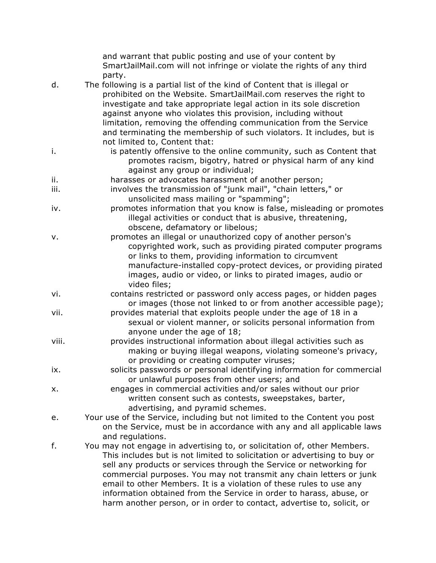|       | and warrant that public posting and use of your content by<br>SmartJailMail.com will not infringe or violate the rights of any third                                                                                                                                                                                                                                                                                                                                                                                        |
|-------|-----------------------------------------------------------------------------------------------------------------------------------------------------------------------------------------------------------------------------------------------------------------------------------------------------------------------------------------------------------------------------------------------------------------------------------------------------------------------------------------------------------------------------|
|       | party.                                                                                                                                                                                                                                                                                                                                                                                                                                                                                                                      |
| d.    | The following is a partial list of the kind of Content that is illegal or<br>prohibited on the Website. SmartJailMail.com reserves the right to<br>investigate and take appropriate legal action in its sole discretion<br>against anyone who violates this provision, including without<br>limitation, removing the offending communication from the Service<br>and terminating the membership of such violators. It includes, but is<br>not limited to, Content that:                                                     |
| i.    | is patently offensive to the online community, such as Content that<br>promotes racism, bigotry, hatred or physical harm of any kind<br>against any group or individual;                                                                                                                                                                                                                                                                                                                                                    |
| ii.   | harasses or advocates harassment of another person;                                                                                                                                                                                                                                                                                                                                                                                                                                                                         |
| iii.  | involves the transmission of "junk mail", "chain letters," or<br>unsolicited mass mailing or "spamming";                                                                                                                                                                                                                                                                                                                                                                                                                    |
| iv.   | promotes information that you know is false, misleading or promotes<br>illegal activities or conduct that is abusive, threatening,<br>obscene, defamatory or libelous;                                                                                                                                                                                                                                                                                                                                                      |
| v.    | promotes an illegal or unauthorized copy of another person's<br>copyrighted work, such as providing pirated computer programs<br>or links to them, providing information to circumvent<br>manufacture-installed copy-protect devices, or providing pirated<br>images, audio or video, or links to pirated images, audio or<br>video files;                                                                                                                                                                                  |
| vi.   | contains restricted or password only access pages, or hidden pages<br>or images (those not linked to or from another accessible page);                                                                                                                                                                                                                                                                                                                                                                                      |
| vii.  | provides material that exploits people under the age of 18 in a<br>sexual or violent manner, or solicits personal information from<br>anyone under the age of 18;                                                                                                                                                                                                                                                                                                                                                           |
| viii. | provides instructional information about illegal activities such as<br>making or buying illegal weapons, violating someone's privacy,<br>or providing or creating computer viruses;                                                                                                                                                                                                                                                                                                                                         |
| ix.   | solicits passwords or personal identifying information for commercial<br>or unlawful purposes from other users; and                                                                                                                                                                                                                                                                                                                                                                                                         |
| х.    | engages in commercial activities and/or sales without our prior<br>written consent such as contests, sweepstakes, barter,<br>advertising, and pyramid schemes.                                                                                                                                                                                                                                                                                                                                                              |
| е.    | Your use of the Service, including but not limited to the Content you post<br>on the Service, must be in accordance with any and all applicable laws<br>and regulations.                                                                                                                                                                                                                                                                                                                                                    |
| f.    | You may not engage in advertising to, or solicitation of, other Members.<br>This includes but is not limited to solicitation or advertising to buy or<br>sell any products or services through the Service or networking for<br>commercial purposes. You may not transmit any chain letters or junk<br>email to other Members. It is a violation of these rules to use any<br>information obtained from the Service in order to harass, abuse, or<br>harm another person, or in order to contact, advertise to, solicit, or |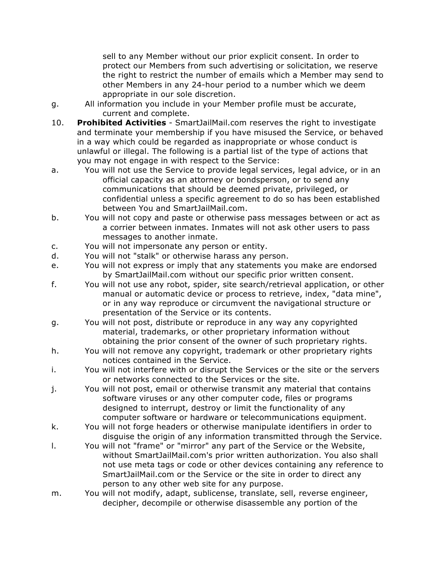sell to any Member without our prior explicit consent. In order to protect our Members from such advertising or solicitation, we reserve the right to restrict the number of emails which a Member may send to other Members in any 24-hour period to a number which we deem appropriate in our sole discretion.

- g. All information you include in your Member profile must be accurate, current and complete.
- 10. **Prohibited Activities** SmartJailMail.com reserves the right to investigate and terminate your membership if you have misused the Service, or behaved in a way which could be regarded as inappropriate or whose conduct is unlawful or illegal. The following is a partial list of the type of actions that you may not engage in with respect to the Service:
- a. You will not use the Service to provide legal services, legal advice, or in an official capacity as an attorney or bondsperson, or to send any communications that should be deemed private, privileged, or confidential unless a specific agreement to do so has been established between You and SmartJailMail.com.
- b. You will not copy and paste or otherwise pass messages between or act as a corrier between inmates. Inmates will not ask other users to pass messages to another inmate.
- c. You will not impersonate any person or entity.
- d. You will not "stalk" or otherwise harass any person.
- e. You will not express or imply that any statements you make are endorsed by SmartJailMail.com without our specific prior written consent.

f. You will not use any robot, spider, site search/retrieval application, or other manual or automatic device or process to retrieve, index, "data mine", or in any way reproduce or circumvent the navigational structure or presentation of the Service or its contents.

- g. You will not post, distribute or reproduce in any way any copyrighted material, trademarks, or other proprietary information without obtaining the prior consent of the owner of such proprietary rights.
- h. You will not remove any copyright, trademark or other proprietary rights notices contained in the Service.
- i. You will not interfere with or disrupt the Services or the site or the servers or networks connected to the Services or the site.

j. You will not post, email or otherwise transmit any material that contains software viruses or any other computer code, files or programs designed to interrupt, destroy or limit the functionality of any computer software or hardware or telecommunications equipment.

- k. You will not forge headers or otherwise manipulate identifiers in order to disguise the origin of any information transmitted through the Service.
- l. You will not "frame" or "mirror" any part of the Service or the Website, without SmartJailMail.com's prior written authorization. You also shall not use meta tags or code or other devices containing any reference to SmartJailMail.com or the Service or the site in order to direct any person to any other web site for any purpose.
- m. You will not modify, adapt, sublicense, translate, sell, reverse engineer, decipher, decompile or otherwise disassemble any portion of the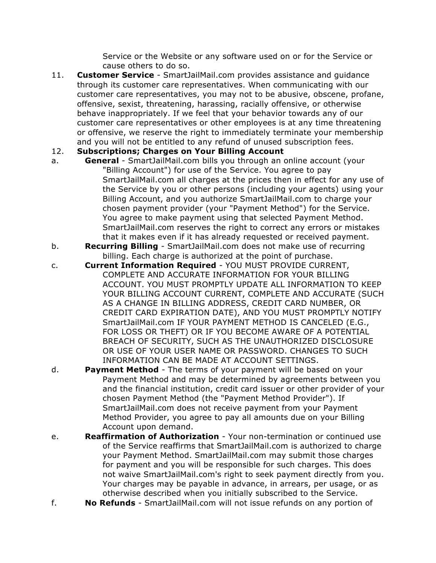Service or the Website or any software used on or for the Service or cause others to do so.

11. **Customer Service** - SmartJailMail.com provides assistance and guidance through its customer care representatives. When communicating with our customer care representatives, you may not to be abusive, obscene, profane, offensive, sexist, threatening, harassing, racially offensive, or otherwise behave inappropriately. If we feel that your behavior towards any of our customer care representatives or other employees is at any time threatening or offensive, we reserve the right to immediately terminate your membership and you will not be entitled to any refund of unused subscription fees.

## 12. **Subscriptions; Charges on Your Billing Account**

- a. **General** SmartJailMail.com bills you through an online account (your "Billing Account") for use of the Service. You agree to pay SmartJailMail.com all charges at the prices then in effect for any use of the Service by you or other persons (including your agents) using your Billing Account, and you authorize SmartJailMail.com to charge your chosen payment provider (your "Payment Method") for the Service. You agree to make payment using that selected Payment Method. SmartJailMail.com reserves the right to correct any errors or mistakes that it makes even if it has already requested or received payment.
- b. **Recurring Billing** SmartJailMail.com does not make use of recurring billing. Each charge is authorized at the point of purchase.
- c. **Current Information Required** YOU MUST PROVIDE CURRENT, COMPLETE AND ACCURATE INFORMATION FOR YOUR BILLING ACCOUNT. YOU MUST PROMPTLY UPDATE ALL INFORMATION TO KEEP YOUR BILLING ACCOUNT CURRENT, COMPLETE AND ACCURATE (SUCH AS A CHANGE IN BILLING ADDRESS, CREDIT CARD NUMBER, OR CREDIT CARD EXPIRATION DATE), AND YOU MUST PROMPTLY NOTIFY SmartJailMail.com IF YOUR PAYMENT METHOD IS CANCELED (E.G., FOR LOSS OR THEFT) OR IF YOU BECOME AWARE OF A POTENTIAL BREACH OF SECURITY, SUCH AS THE UNAUTHORIZED DISCLOSURE OR USE OF YOUR USER NAME OR PASSWORD. CHANGES TO SUCH INFORMATION CAN BE MADE AT ACCOUNT SETTINGS.
- d. **Payment Method** The terms of your payment will be based on your Payment Method and may be determined by agreements between you and the financial institution, credit card issuer or other provider of your chosen Payment Method (the "Payment Method Provider"). If SmartJailMail.com does not receive payment from your Payment Method Provider, you agree to pay all amounts due on your Billing Account upon demand.
- e. **Reaffirmation of Authorization** Your non-termination or continued use of the Service reaffirms that SmartJailMail.com is authorized to charge your Payment Method. SmartJailMail.com may submit those charges for payment and you will be responsible for such charges. This does not waive SmartJailMail.com's right to seek payment directly from you. Your charges may be payable in advance, in arrears, per usage, or as otherwise described when you initially subscribed to the Service.
- f. **No Refunds** SmartJailMail.com will not issue refunds on any portion of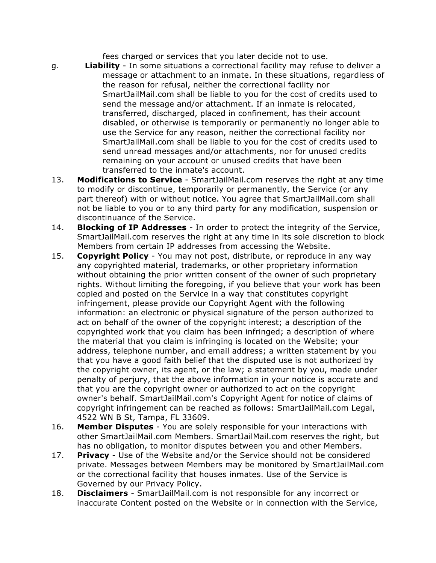fees charged or services that you later decide not to use.

- g. **Liability** In some situations a correctional facility may refuse to deliver a message or attachment to an inmate. In these situations, regardless of the reason for refusal, neither the correctional facility nor SmartJailMail.com shall be liable to you for the cost of credits used to send the message and/or attachment. If an inmate is relocated, transferred, discharged, placed in confinement, has their account disabled, or otherwise is temporarily or permanently no longer able to use the Service for any reason, neither the correctional facility nor SmartJailMail.com shall be liable to you for the cost of credits used to send unread messages and/or attachments, nor for unused credits remaining on your account or unused credits that have been transferred to the inmate's account.
- 13. **Modifications to Service** SmartJailMail.com reserves the right at any time to modify or discontinue, temporarily or permanently, the Service (or any part thereof) with or without notice. You agree that SmartJailMail.com shall not be liable to you or to any third party for any modification, suspension or discontinuance of the Service.
- 14. **Blocking of IP Addresses** In order to protect the integrity of the Service, SmartJailMail.com reserves the right at any time in its sole discretion to block Members from certain IP addresses from accessing the Website.
- 15. **Copyright Policy** You may not post, distribute, or reproduce in any way any copyrighted material, trademarks, or other proprietary information without obtaining the prior written consent of the owner of such proprietary rights. Without limiting the foregoing, if you believe that your work has been copied and posted on the Service in a way that constitutes copyright infringement, please provide our Copyright Agent with the following information: an electronic or physical signature of the person authorized to act on behalf of the owner of the copyright interest; a description of the copyrighted work that you claim has been infringed; a description of where the material that you claim is infringing is located on the Website; your address, telephone number, and email address; a written statement by you that you have a good faith belief that the disputed use is not authorized by the copyright owner, its agent, or the law; a statement by you, made under penalty of perjury, that the above information in your notice is accurate and that you are the copyright owner or authorized to act on the copyright owner's behalf. SmartJailMail.com's Copyright Agent for notice of claims of copyright infringement can be reached as follows: SmartJailMail.com Legal, 4522 WN B St, Tampa, FL 33609.
- 16. **Member Disputes** You are solely responsible for your interactions with other SmartJailMail.com Members. SmartJailMail.com reserves the right, but has no obligation, to monitor disputes between you and other Members.
- 17. **Privacy** Use of the Website and/or the Service should not be considered private. Messages between Members may be monitored by SmartJailMail.com or the correctional facility that houses inmates. Use of the Service is Governed by our Privacy Policy.
- 18. **Disclaimers** SmartJailMail.com is not responsible for any incorrect or inaccurate Content posted on the Website or in connection with the Service,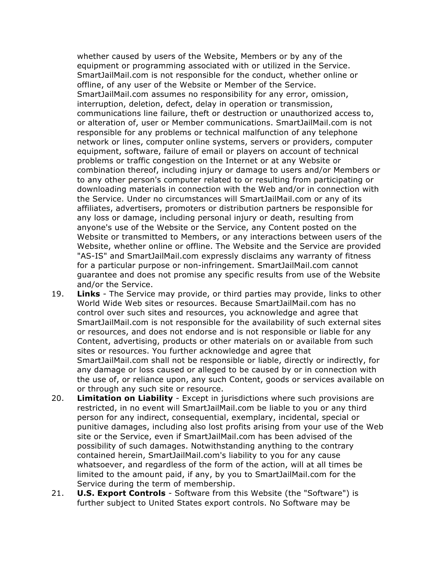whether caused by users of the Website, Members or by any of the equipment or programming associated with or utilized in the Service. SmartJailMail.com is not responsible for the conduct, whether online or offline, of any user of the Website or Member of the Service. SmartJailMail.com assumes no responsibility for any error, omission, interruption, deletion, defect, delay in operation or transmission, communications line failure, theft or destruction or unauthorized access to, or alteration of, user or Member communications. SmartJailMail.com is not responsible for any problems or technical malfunction of any telephone network or lines, computer online systems, servers or providers, computer equipment, software, failure of email or players on account of technical problems or traffic congestion on the Internet or at any Website or combination thereof, including injury or damage to users and/or Members or to any other person's computer related to or resulting from participating or downloading materials in connection with the Web and/or in connection with the Service. Under no circumstances will SmartJailMail.com or any of its affiliates, advertisers, promoters or distribution partners be responsible for any loss or damage, including personal injury or death, resulting from anyone's use of the Website or the Service, any Content posted on the Website or transmitted to Members, or any interactions between users of the Website, whether online or offline. The Website and the Service are provided "AS-IS" and SmartJailMail.com expressly disclaims any warranty of fitness for a particular purpose or non-infringement. SmartJailMail.com cannot guarantee and does not promise any specific results from use of the Website and/or the Service.

- 19. **Links** The Service may provide, or third parties may provide, links to other World Wide Web sites or resources. Because SmartJailMail.com has no control over such sites and resources, you acknowledge and agree that SmartJailMail.com is not responsible for the availability of such external sites or resources, and does not endorse and is not responsible or liable for any Content, advertising, products or other materials on or available from such sites or resources. You further acknowledge and agree that SmartJailMail.com shall not be responsible or liable, directly or indirectly, for any damage or loss caused or alleged to be caused by or in connection with the use of, or reliance upon, any such Content, goods or services available on or through any such site or resource.
- 20. **Limitation on Liability** Except in jurisdictions where such provisions are restricted, in no event will SmartJailMail.com be liable to you or any third person for any indirect, consequential, exemplary, incidental, special or punitive damages, including also lost profits arising from your use of the Web site or the Service, even if SmartJailMail.com has been advised of the possibility of such damages. Notwithstanding anything to the contrary contained herein, SmartJailMail.com's liability to you for any cause whatsoever, and regardless of the form of the action, will at all times be limited to the amount paid, if any, by you to SmartJailMail.com for the Service during the term of membership.
- 21. **U.S. Export Controls** Software from this Website (the "Software") is further subject to United States export controls. No Software may be